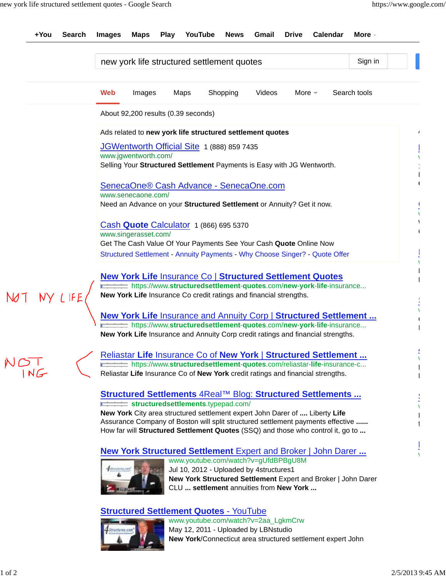